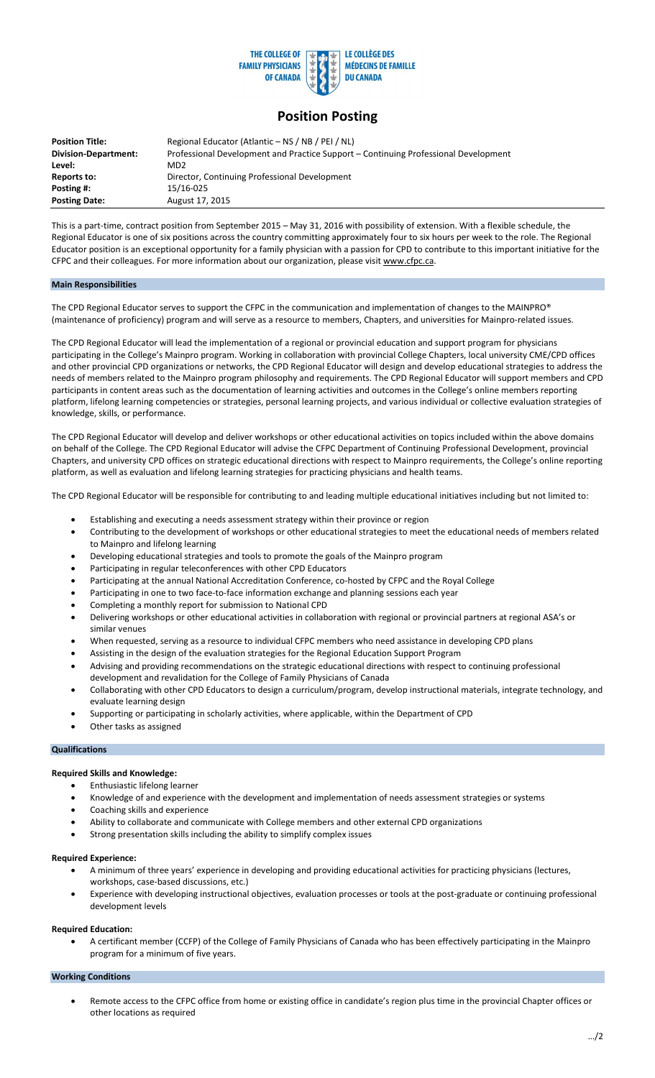

# **Position Posting**

| <b>Position Title:</b>      | Regional Educator (Atlantic – NS / NB / PEI / NL)                                   |
|-----------------------------|-------------------------------------------------------------------------------------|
| <b>Division-Department:</b> | Professional Development and Practice Support – Continuing Professional Development |
| Level:                      | MD <sub>2</sub>                                                                     |
| Reports to:                 | Director, Continuing Professional Development                                       |
| Posting #:                  | 15/16-025                                                                           |
| <b>Posting Date:</b>        | August 17, 2015                                                                     |

This is a part-time, contract position from September 2015 – May 31, 2016 with possibility of extension. With a flexible schedule, the Regional Educator is one of six positions across the country committing approximately four to six hours per week to the role. The Regional Educator position is an exceptional opportunity for a family physician with a passion for CPD to contribute to this important initiative for the CFPC and their colleagues. For more information about our organization, please visit www.cfpc.ca.

### **Main Responsibilities**

The CPD Regional Educator serves to support the CFPC in the communication and implementation of changes to the MAINPRO® (maintenance of proficiency) program and will serve as a resource to members, Chapters, and universities for Mainpro-related issues.

The CPD Regional Educator will lead the implementation of a regional or provincial education and support program for physicians participating in the College's Mainpro program. Working in collaboration with provincial College Chapters, local university CME/CPD offices and other provincial CPD organizations or networks, the CPD Regional Educator will design and develop educational strategies to address the needs of members related to the Mainpro program philosophy and requirements. The CPD Regional Educator will support members and CPD participants in content areas such as the documentation of learning activities and outcomes in the College's online members reporting platform, lifelong learning competencies or strategies, personal learning projects, and various individual or collective evaluation strategies of knowledge, skills, or performance.

The CPD Regional Educator will develop and deliver workshops or other educational activities on topics included within the above domains on behalf of the College. The CPD Regional Educator will advise the CFPC Department of Continuing Professional Development, provincial Chapters, and university CPD offices on strategic educational directions with respect to Mainpro requirements, the College's online reporting platform, as well as evaluation and lifelong learning strategies for practicing physicians and health teams.

The CPD Regional Educator will be responsible for contributing to and leading multiple educational initiatives including but not limited to:

- Establishing and executing a needs assessment strategy within their province or region
- Contributing to the development of workshops or other educational strategies to meet the educational needs of members related to Mainpro and lifelong learning
- Developing educational strategies and tools to promote the goals of the Mainpro program
- Participating in regular teleconferences with other CPD Educators
- Participating at the annual National Accreditation Conference, co-hosted by CFPC and the Royal College
- Participating in one to two face-to-face information exchange and planning sessions each year
- Completing a monthly report for submission to National CPD
- Delivering workshops or other educational activities in collaboration with regional or provincial partners at regional ASA's or similar venues
- When requested, serving as a resource to individual CFPC members who need assistance in developing CPD plans
- Assisting in the design of the evaluation strategies for the Regional Education Support Program
- Advising and providing recommendations on the strategic educational directions with respect to continuing professional
- development and revalidation for the College of Family Physicians of Canada
- Collaborating with other CPD Educators to design a curriculum/program, develop instructional materials, integrate technology, and evaluate learning design
- Supporting or participating in scholarly activities, where applicable, within the Department of CPD
- Other tasks as assigned

#### **Qualifications**

#### **Required Skills and Knowledge:**

- Enthusiastic lifelong learner
- Knowledge of and experience with the development and implementation of needs assessment strategies or systems
- Coaching skills and experience
- Ability to collaborate and communicate with College members and other external CPD organizations
- Strong presentation skills including the ability to simplify complex issues

#### **Required Experience:**

- A minimum of three years' experience in developing and providing educational activities for practicing physicians (lectures, workshops, case-based discussions, etc.)
- Experience with developing instructional objectives, evaluation processes or tools at the post-graduate or continuing professional development levels

## **Required Education:**

• A certificant member (CCFP) of the College of Family Physicians of Canada who has been effectively participating in the Mainpro program for a minimum of five years.

## **Working Conditions**

• Remote access to the CFPC office from home or existing office in candidate's region plus time in the provincial Chapter offices or other locations as required